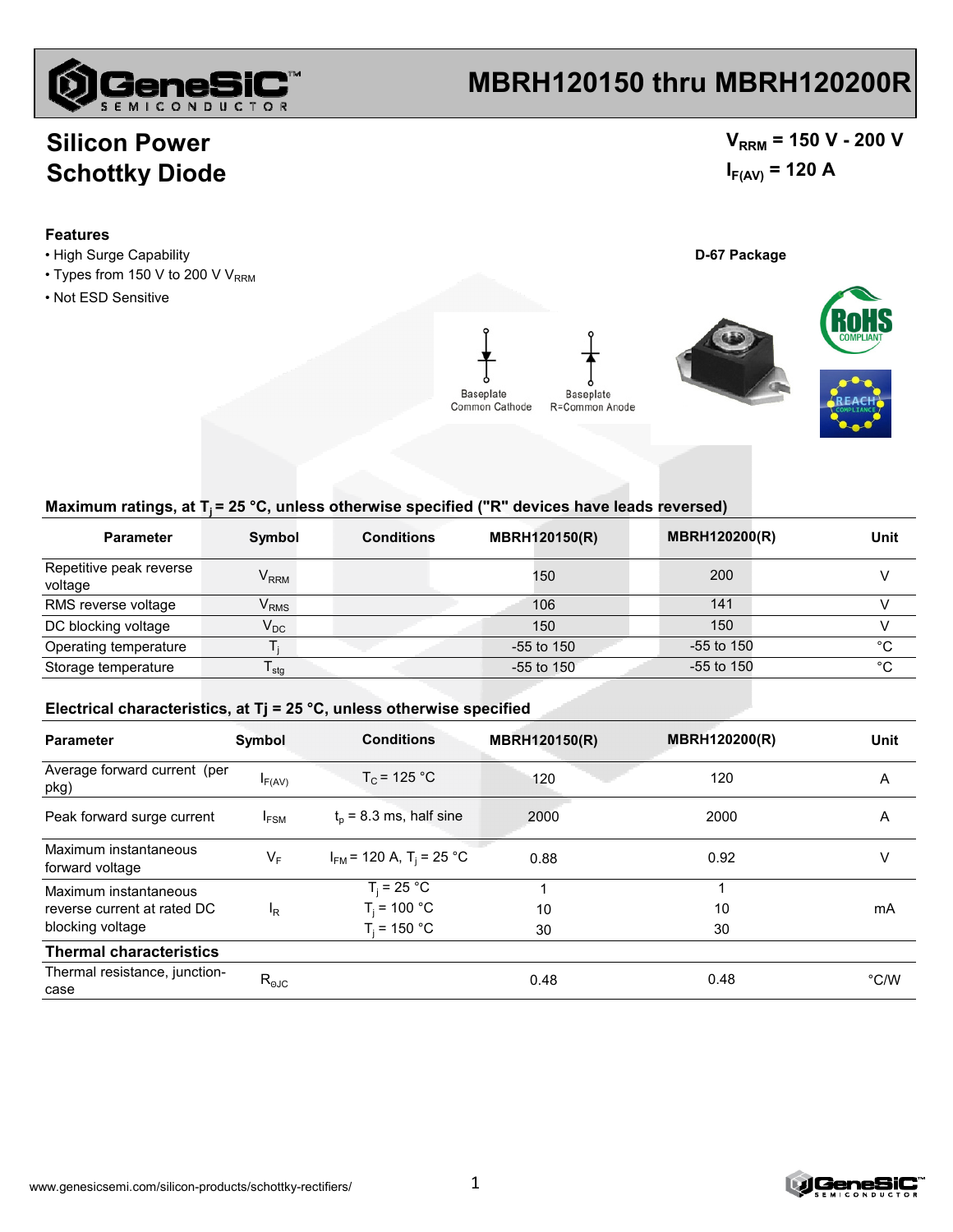

### **MBRH120150 thru MBRH120200R**

### **Silicon Power Schottky Diode**

### $V_{RRM}$  = 150 V - 200 V  $I_{F(AV)} = 120 A$

#### **Features**

- High Surge Capability **D-67 Package**
- Types from 150 V to 200 V  $V_{RRM}$
- Not ESD Sensitive



#### Maximum ratings, at T<sub>i</sub> = 25 °C, unless otherwise specified ("R" devices have leads reversed)

| <b>Parameter</b>                   | Symbol                      | <b>Conditions</b> | <b>MBRH120150(R)</b> | <b>MBRH120200(R)</b> | Unit |
|------------------------------------|-----------------------------|-------------------|----------------------|----------------------|------|
| Repetitive peak reverse<br>voltage | $V_{RRM}$                   |                   | 150                  | 200                  |      |
| RMS reverse voltage                | $\mathsf{V}_{\mathsf{RMS}}$ |                   | 106                  | 141                  |      |
| DC blocking voltage                | $\mathsf{V}_\mathsf{DC}$    |                   | 150                  | 150                  |      |
| Operating temperature              |                             |                   | $-55$ to 150         | $-55$ to 150         | °C   |
| Storage temperature                | $\mathsf{I}$ stg            |                   | $-55$ to 150         | $-55$ to 150         | °C   |

#### **Electrical characteristics, at Tj = 25 °C, unless otherwise specified**

| <b>Parameter</b>                                                         | Symbol           | <b>Conditions</b>                                  | <b>MBRH120150(R)</b> | <b>MBRH120200(R)</b> | <b>Unit</b>   |
|--------------------------------------------------------------------------|------------------|----------------------------------------------------|----------------------|----------------------|---------------|
| Average forward current (per<br>pkg)                                     | $I_{F(AV)}$      | $T_c$ = 125 °C                                     | 120                  | 120                  | A             |
| Peak forward surge current                                               | I <sub>FSM</sub> | $t_0$ = 8.3 ms, half sine                          | 2000                 | 2000                 | A             |
| Maximum instantaneous<br>forward voltage                                 | $V_F$            | $I_{FM}$ = 120 A, T <sub>i</sub> = 25 °C           | 0.88                 | 0.92                 | v             |
| Maximum instantaneous<br>reverse current at rated DC<br>blocking voltage | <sup>I</sup> R   | $T_i = 25 °C$<br>$T_i = 100 °C$<br>$T_i$ = 150 °C. | 10<br>30             | 10<br>30             | mA            |
| <b>Thermal characteristics</b>                                           |                  |                                                    |                      |                      |               |
| Thermal resistance, junction-<br>case                                    | $R_{\text{OJC}}$ |                                                    | 0.48                 | 0.48                 | $\degree$ C/W |

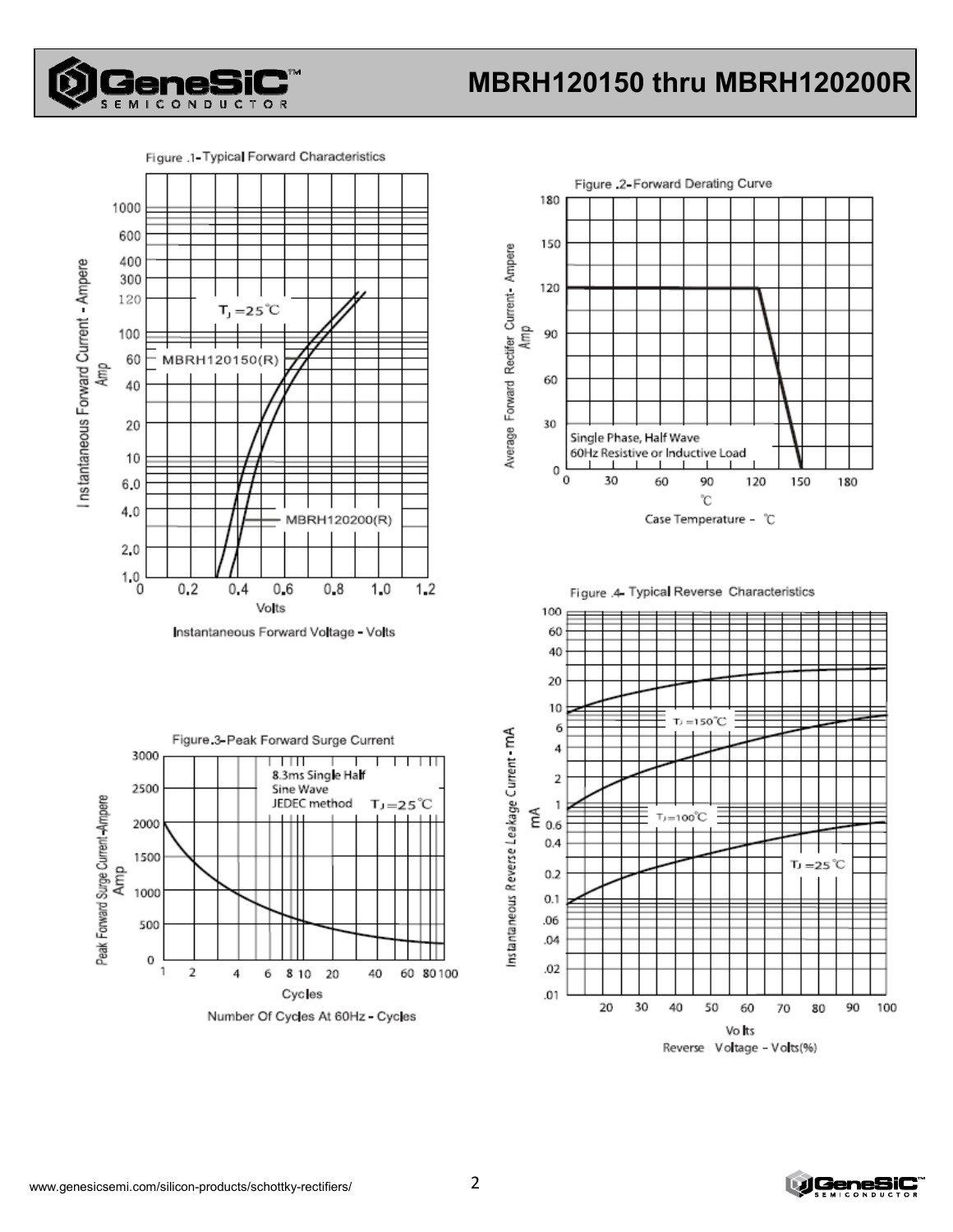

# **MBRH120150 thru MBRH120200R**





Instantaneous Forward Voltage - Volts









Reverse Voltage - Volts(%)